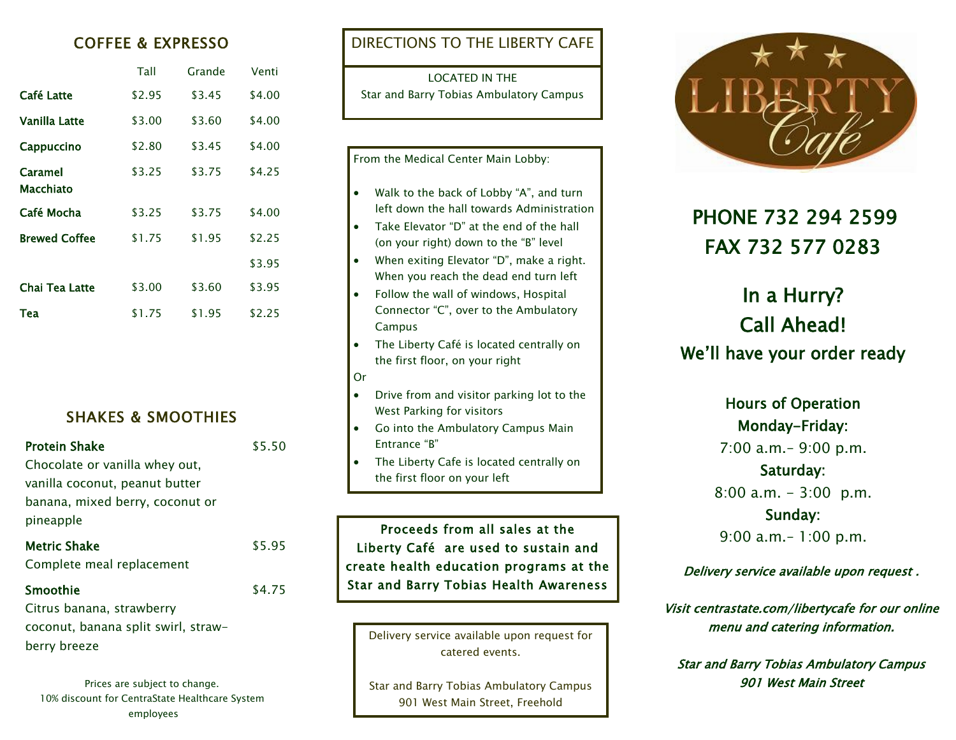### COFFEE & EXPRESSO

|                      | Tall   | Grande | Venti  |
|----------------------|--------|--------|--------|
| Café Latte           | \$2.95 | \$3.45 | \$4.00 |
| Vanilla Latte        | \$3.00 | \$3.60 | \$4.00 |
| Cappuccino           | \$2.80 | \$3.45 | \$4.00 |
| Caramel<br>Macchiato | \$3.25 | \$3.75 | \$4.25 |
| Café Mocha           | \$3.25 | \$3.75 | \$4.00 |
| <b>Brewed Coffee</b> | \$1.75 | \$1.95 | \$2.25 |
|                      |        |        | \$3.95 |
| Chai Tea Latte       | \$3.00 | \$3.60 | \$3.95 |
| Tea                  | \$1.75 | \$1.95 | \$2.25 |

### SHAKES & SMOOTHIES

| Protein Shake                                         | \$5.50 |
|-------------------------------------------------------|--------|
| Chocolate or vanilla whey out,                        |        |
| vanilla coconut, peanut butter                        |        |
| banana, mixed berry, coconut or<br>pineapple          |        |
| Metric Shake<br>Complete meal replacement             | \$5.95 |
| Smoothie<br>Citrus banana, strawberry                 | \$4.75 |
| the company of the company of the constant company of |        |

coconut, banana split swirl, strawberry breeze

10% discount for CentraState Healthcare System employees

DIRECTIONS TO THE LIBERTY CAFE

LOCATED IN THE Star and Barry Tobias Ambulatory Campus

#### From the Medical Center Main Lobby: • Walk to the back of Lobby "A", and turn left down the hall towards Administration Take Elevator "D" at the end of the hall (on your right) down to the "B" level When exiting Elevator "D", make a right. When you reach the dead end turn left • Follow the wall of windows, Hospital Connector "C", over to the Ambulatory

- The Liberty Café is located centrally on the first floor, on your right
- Or

Campus

- Drive from and visitor parking lot to the West Parking for visitors
- Go into the Ambulatory Campus Main Entrance "B"
- The Liberty Cafe is located centrally on the first floor on your left

Proceeds from all sales at the Liberty Café are used to sustain and create health education programs at the Star and Barry Tobias Health Awareness

Delivery service available upon request for catered events.

Prices are subject to change. The Star and Barry Tobias Ambulatory Campus Prices are subject to change. The Street 901 West Main Street, Freehold



## PHONE 732 294 2599 FAX 732 577 0283

# In a Hurry? Call Ahead! We'll have your order ready

Hours of Operation Monday-Friday: 7:00 a.m.– 9:00 p.m. Saturday: 8:00 a.m. - 3:00 p.m. Sunday: 9:00 a.m.– 1:00 p.m.

Delivery service available upon request .

Visit centrastate.com/libertycafe for our online menu and catering information.

Star and Barry Tobias Ambulatory Campus